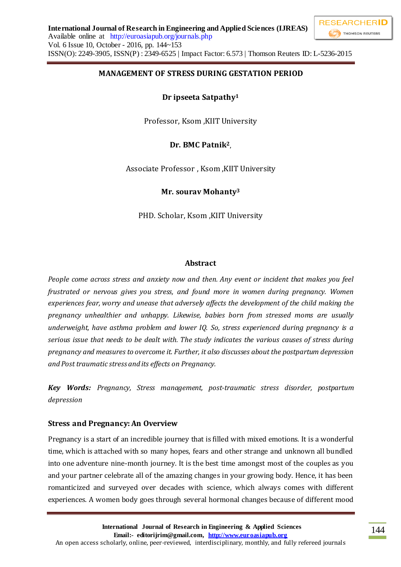# **MANAGEMENT OF STRESS DURING GESTATION PERIOD**

# **Dr ipseeta Satpathy<sup>1</sup>**

Professor, Ksom ,KIIT University

# **Dr. BMC Patnik<sup>2</sup> ,**

Associate Professor , Ksom ,KIIT University

# **Mr. sourav Mohanty<sup>3</sup>**

PHD. Scholar, Ksom ,KIIT University

# **Abstract**

*People come across stress and anxiety now and then. Any event or incident that makes you feel frustrated or nervous gives you stress, and found more in women during pregnancy. Women experiences fear, worry and unease that adversely affects the development of the child making the pregnancy unhealthier and unhappy. Likewise, babies born from stressed moms are usually underweight, have asthma problem and lower IQ. So, stress experienced during pregnancy is a serious issue that needs to be dealt with. The study indicates the various causes of stress during pregnancy and measures to overcome it. Further, it also discusses about the postpartum depression and Post traumatic stress and its effects on Pregnancy.*

*Key Words: Pregnancy, Stress management, post-traumatic stress disorder, postpartum depression*

# **Stress and Pregnancy: An Overview**

Pregnancy is a start of an incredible journey that is filled with mixed emotions. It is a wonderful time, which is attached with so many hopes, fears and other strange and unknown all bundled into one adventure nine-month journey. It is the best time amongst most of the couples as you and your partner celebrate all of the amazing changes in your growing body. Hence, it has been romanticized and surveyed over decades with science, which always comes with different experiences. A women body goes through several hormonal changes because of different mood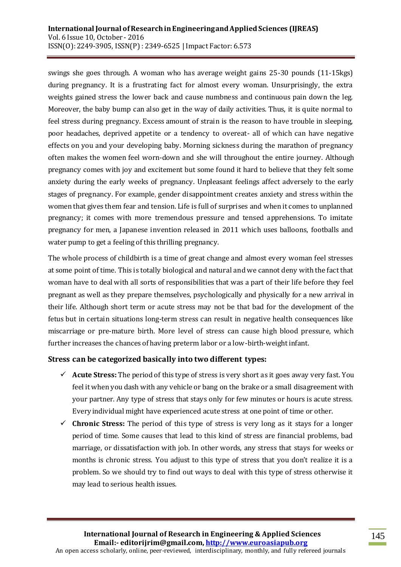swings she goes through. A woman who has average weight gains 25-30 pounds (11-15kgs) during pregnancy. It is a frustrating fact for almost every woman. Unsurprisingly, the extra weights gained stress the lower back and cause numbness and continuous pain down the leg. Moreover, the baby bump can also get in the way of daily activities. Thus, it is quite normal to feel stress during pregnancy. Excess amount of strain is the reason to have trouble in sleeping, poor headaches, deprived appetite or a tendency to overeat- all of which can have negative effects on you and your developing baby. Morning sickness during the marathon of pregnancy often makes the women feel worn-down and she will throughout the entire journey. Although pregnancy comes with joy and excitement but some found it hard to believe that they felt some anxiety during the early weeks of pregnancy. Unpleasant feelings affect adversely to the early stages of pregnancy. For example, gender disappointment creates anxiety and stress within the women that gives them fear and tension. Life is full of surprises and when it comes to unplanned pregnancy; it comes with more tremendous pressure and tensed apprehensions. To imitate pregnancy for men, a Japanese invention released in 2011 which uses balloons, footballs and water pump to get a feeling of this thrilling pregnancy.

The whole process of childbirth is a time of great change and almost every woman feel stresses at some point of time. This is totally biological and natural and we cannot deny with the fact that woman have to deal with all sorts of responsibilities that was a part of their life before they feel pregnant as well as they prepare themselves, psychologically and physically for a new arrival in their life. Although short term or acute stress may not be that bad for the development of the fetus but in certain situations long-term stress can result in negative health consequences like miscarriage or pre-mature birth. More level of stress can cause high blood pressure, which further increases the chances of having preterm labor or a low-birth-weight infant.

# **Stress can be categorized basically into two different types:**

- $\checkmark$  Acute Stress: The period of this type of stress is very short as it goes away very fast. You feel it when you dash with any vehicle or bang on the brake or a small disagreement with your partner. Any type of stress that stays only for few minutes or hours is acute stress. Every individual might have experienced acute stress at one point of time or other.
- $\checkmark$  **Chronic Stress:** The period of this type of stress is very long as it stays for a longer period of time. Some causes that lead to this kind of stress are financial problems, bad marriage, or dissatisfaction with job. In other words, any stress that stays for weeks or months is chronic stress. You adjust to this type of stress that you don't realize it is a problem. So we should try to find out ways to deal with this type of stress otherwise it may lead to serious health issues.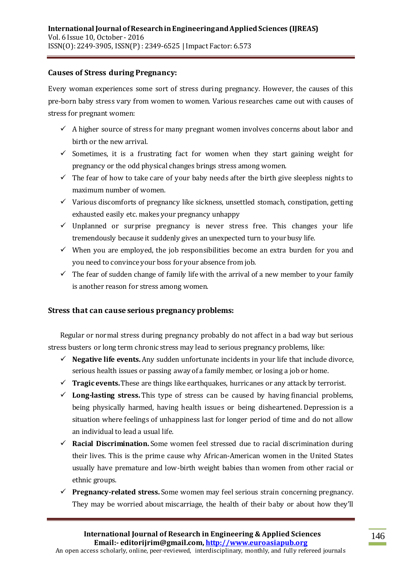# **Causes of Stress during Pregnancy:**

Every woman experiences some sort of stress during pregnancy. However, the causes of this pre-born baby stress vary from women to women. Various researches came out with causes of stress for pregnant women:

- $\checkmark$  A higher source of stress for many pregnant women involves concerns about labor and birth or the new arrival.
- $\checkmark$  Sometimes, it is a frustrating fact for women when they start gaining weight for pregnancy or the odd physical changes brings stress among women.
- $\checkmark$  The fear of how to take care of your baby needs after the birth give sleepless nights to maximum number of women.
- $\checkmark$  Various discomforts of pregnancy like sickness, unsettled stomach, constipation, getting exhausted easily etc. makes your pregnancy unhappy
- $\checkmark$  Unplanned or surprise pregnancy is never stress free. This changes your life tremendously because it suddenly gives an unexpected turn to your busy life.
- $\checkmark$  When you are employed, the job responsibilities become an extra burden for you and you need to convince your boss for your absence from job.
- $\checkmark$  The fear of sudden change of family life with the arrival of a new member to your family is another reason for stress among women.

# **Stress that can cause serious pregnancy problems:**

Regular or normal stress during pregnancy probably do not affect in a bad way but serious stress busters or long term chronic stress may lead to serious pregnancy problems, like:

- **Negative life events.** Any sudden unfortunate incidents in your life that include divorce, serious health issues or passing away of a family member, or losing a job or home.
- **Tragic events.**These are things like earthquakes, hurricanes or any attack by terrorist.
- $\checkmark$  **Long-lasting stress.** This type of stress can be caused by having financial problems, being physically harmed, having health issues or being disheartened. Depression is a situation where feelings of unhappiness last for longer period of time and do not allow an individual to lead a usual life.
- **Racial Discrimination.** Some women feel stressed due to racial discrimination during their lives. This is the prime cause why African-American women in the United States usually have premature and low-birth weight babies than women from other racial or ethnic groups.
- **Pregnancy-related stress.** Some women may feel serious strain concerning pregnancy. They may be worried about miscarriage, the health of their baby or about how they'll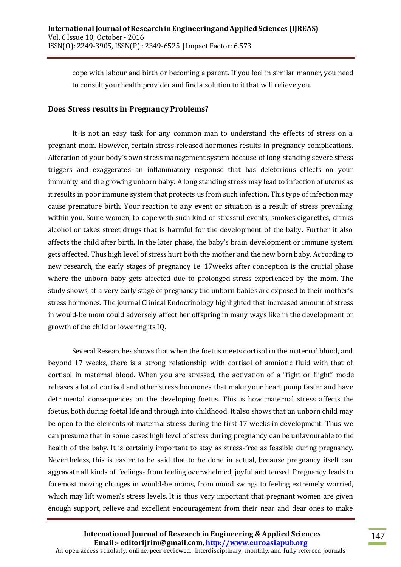cope with labour and birth or becoming a parent. If you feel in similar manner, you need to consult your health provider and find a solution to it that will relieve you.

#### **Does Stress results in Pregnancy Problems?**

It is not an easy task for any common man to understand the effects of stress on a pregnant mom. However, certain stress released hormones results in pregnancy complications. Alteration of your body's own stress management system because of long-standing severe stress triggers and exaggerates an inflammatory response that has deleterious effects on your immunity and the growing unborn baby. A long standing stress may lead to infection of uterus as it results in poor immune system that protects us from such infection. This type of infection may cause premature birth. Your reaction to any event or situation is a result of stress prevailing within you. Some women, to cope with such kind of stressful events, smokes cigarettes, drinks alcohol or takes street drugs that is harmful for the development of the baby. Further it also affects the child after birth. In the later phase, the baby's brain development or immune system gets affected. Thus high level of stress hurt both the mother and the new born baby. According to new research, the early stages of pregnancy i.e. 17weeks after conception is the crucial phase where the unborn baby gets affected due to prolonged stress experienced by the mom. The study shows, at a very early stage of pregnancy the unborn babies are exposed to their mother's stress hormones. The journal Clinical Endocrinology highlighted that increased amount of stress in would-be mom could adversely affect her offspring in many ways like in the development or growth of the child or lowering its IQ.

Several Researches shows that when the foetus meets cortisol in the maternal blood, and beyond 17 weeks, there is a strong relationship with cortisol of amniotic fluid with that of cortisol in maternal blood. When you are stressed, the activation of a "fight or flight" mode releases a lot of cortisol and other stress hormones that make your heart pump faster and have detrimental consequences on the developing foetus. This is how maternal stress affects the foetus, both during foetal life and through into childhood. It also shows that an unborn child may be open to the elements of maternal stress during the first 17 weeks in development. Thus we can presume that in some cases high level of stress during pregnancy can be unfavourable to the health of the baby. It is certainly important to stay as stress-free as feasible during pregnancy. Nevertheless, this is easier to be said that to be done in actual, because pregnancy itself can aggravate all kinds of feelings- from feeling overwhelmed, joyful and tensed. Pregnancy leads to foremost moving changes in would-be moms, from mood swings to feeling extremely worried, which may lift women's stress levels. It is thus very important that pregnant women are given enough support, relieve and excellent encouragement from their near and dear ones to make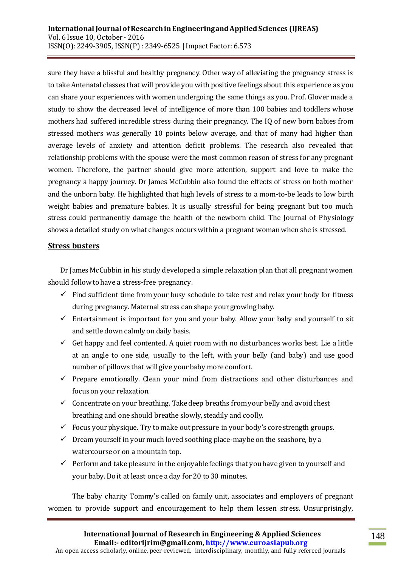sure they have a blissful and healthy pregnancy. Other way of alleviating the pregnancy stress is to take Antenatal classes that will provide you with positive feelings about this experience as you can share your experiences with women undergoing the same things as you. Prof. Glover made a study to show the decreased level of intelligence of more than 100 babies and toddlers whose mothers had suffered incredible stress during their pregnancy. The IQ of new born babies from stressed mothers was generally 10 points below average, and that of many had higher than average levels of anxiety and attention deficit problems. The research also revealed that relationship problems with the spouse were the most common reason of stress for any pregnant women. Therefore, the partner should give more attention, support and love to make the pregnancy a happy journey. Dr James McCubbin also found the effects of stress on both mother and the unborn baby. He highlighted that high levels of stress to a mom-to-be leads to low birth weight babies and premature babies. It is usually stressful for being pregnant but too much stress could permanently damage the health of the newborn child. The Journal of Physiology shows a detailed study on what changes occurs within a pregnant woman when she is stressed.

## **Stress busters**

Dr James McCubbin in his study developed a simple relaxation plan that all pregnant women should follow to have a stress-free pregnancy.

- $\checkmark$  Find sufficient time from your busy schedule to take rest and relax your body for fitness during pregnancy. Maternal stress can shape your growing baby.
- $\checkmark$  Entertainment is important for you and your baby. Allow your baby and yourself to sit and settle down calmly on daily basis.
- $\checkmark$  Get happy and feel contented. A quiet room with no disturbances works best. Lie a little at an angle to one side, usually to the left, with your belly (and baby) and use good number of pillows that will give your baby more comfort.
- $\checkmark$  Prepare emotionally. Clean your mind from distractions and other disturbances and focus on your relaxation.
- $\checkmark$  Concentrate on your breathing. Take deep breaths from your belly and avoid chest breathing and one should breathe slowly, steadily and coolly.
- $\checkmark$  Focus your physique. Try to make out pressure in your body's core strength groups.
- $\checkmark$  Dream yourself in your much loved soothing place-maybe on the seashore, by a watercourse or on a mountain top.
- $\checkmark$  Perform and take pleasure in the enjoyable feelings that you have given to yourself and yourbaby. Do it at least once a day for 20 to 30 minutes.

The baby charity Tommy's called on family unit, associates and employers of pregnant women to provide support and encouragement to help them lessen stress. Unsurprisingly,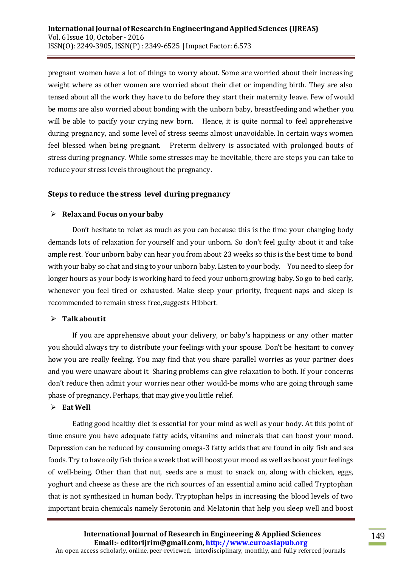pregnant women have a lot of things to worry about. Some are worried about their increasing weight where as other women are worried about their diet or impending birth. They are also tensed about all the work they have to do before they start their maternity leave. Few of would be moms are also worried about bonding with the unborn baby, breastfeeding and whether you will be able to pacify your crying new born. Hence, it is quite normal to feel apprehensive during pregnancy, and some level of stress seems almost unavoidable. In certain ways women feel blessed when being pregnant. Preterm delivery is associated with prolonged bouts of stress during pregnancy. While some stresses may be inevitable, there are steps you can take to reduce your stress levels throughout the pregnancy.

# **Steps to reduce the stress level during pregnancy**

## **Relax and Focus on your baby**

Don't hesitate to relax as much as you can because this is the time your changing body demands lots of relaxation for yourself and your unborn. So don't feel guilty about it and take ample rest. Your unborn baby can hear you from about 23 weeks so this is the best time to bond with your baby so chat and sing to your unborn baby. Listen to your body. You need to sleep for longer hours as your body is working hard to feed your unborn growing baby. So go to bed early, whenever you feel tired or exhausted. Make sleep your priority, frequent naps and sleep is recommended to remain stress free, suggests Hibbert.

### **Talk about it**

If you are apprehensive about your delivery, or baby's happiness or any other matter you should always try to distribute your feelings with your spouse. Don't be hesitant to convey how you are really feeling. You may find that you share parallel worries as your partner does and you were unaware about it. Sharing problems can give relaxation to both. If your concerns don't reduce then admit your worries near other would-be moms who are going through same phase of pregnancy. Perhaps, that may give you little relief.

### **Eat Well**

Eating good healthy diet is essential for your mind as well as your body. At this point of time ensure you have adequate fatty acids, vitamins and minerals that can boost your mood. Depression can be reduced by consuming omega-3 fatty acids that are found in oily fish and sea foods. Try to have oily fish thrice a week that will boost your mood as well as boost your feelings of well-being. Other than that nut, seeds are a must to snack on, along with chicken, eggs, yoghurt and cheese as these are the rich sources of an essential amino acid called Tryptophan that is not synthesized in human body. Tryptophan helps in increasing the blood levels of two important brain chemicals namely Serotonin and Melatonin that help you sleep well and boost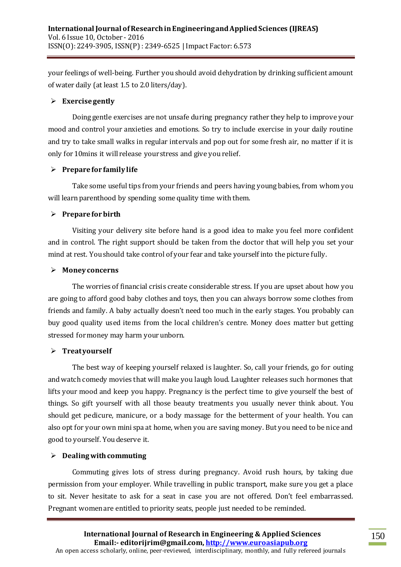your feelings of well-being. Further you should avoid dehydration by drinking sufficient amount of water daily (at least 1.5 to 2.0 liters/day).

### **Exercise gently**

Doing gentle exercises are not unsafe during pregnancy rather they help to improve your mood and control your anxieties and emotions. So try to include exercise in your daily routine and try to take small walks in regular intervals and pop out for some fresh air, no matter if it is only for 10mins it will release your stress and give you relief.

## **Prepare for family life**

Take some useful tips from your friends and peers having young babies, from whom you will learn parenthood by spending some quality time with them.

## **Prepare for birth**

Visiting your delivery site before hand is a good idea to make you feel more confident and in control. The right support should be taken from the doctor that will help you set your mind at rest. You should take control of your fear and take yourself into the picture fully.

### **Money concerns**

The worries of financial crisis create considerable stress. If you are upset about how you are going to afford good baby clothes and toys, then you can always borrow some clothes from friends and family. A baby actually doesn't need too much in the early stages. You probably can buy good quality used items from the local children's centre. Money does matter but getting stressed for money may harm your unborn.

### **Treat yourself**

The best way of keeping yourself relaxed is laughter. So, call your friends, go for outing and watch comedy movies that will make you laugh loud. Laughter releases such hormones that lifts your mood and keep you happy. Pregnancy is the perfect time to give yourself the best of things. So gift yourself with all those beauty treatments you usually never think about. You should get pedicure, manicure, or a body massage for the betterment of your health. You can also opt for your own mini spa at home, when you are saving money. But you need to be nice and good to yourself. You deserve it.

# **Dealing with commuting**

Commuting gives lots of stress during pregnancy. Avoid rush hours, by taking due permission from your employer. While travelling in public transport, make sure you get a place to sit. Never hesitate to ask for a seat in case you are not offered. Don't feel embarrassed. Pregnant women are entitled to priority seats, people just needed to be reminded.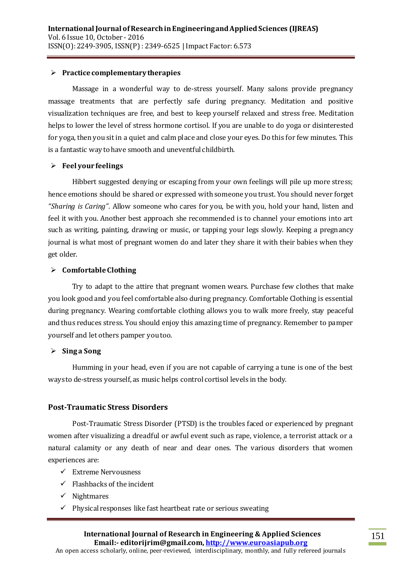#### **Practice complementary therapies**

Massage in a wonderful way to de-stress yourself. Many salons provide pregnancy massage treatments that are perfectly safe during pregnancy. Meditation and positive visualization techniques are free, and best to keep yourself relaxed and stress free. Meditation helps to lower the level of stress hormone cortisol. If you are unable to do yoga or disinterested for yoga, then you sit in a quiet and calm place and close your eyes. Do this for few minutes. This is a fantastic way to have smooth and uneventful childbirth.

### **Feel your feelings**

Hibbert suggested denying or escaping from your own feelings will pile up more stress; hence emotions should be shared or expressed with someone you trust. You should never forget *"Sharing is Caring"*. Allow someone who cares for you, be with you, hold your hand, listen and feel it with you. Another best approach she recommended is to channel your emotions into art such as writing, painting, drawing or music, or tapping your legs slowly. Keeping a pregnancy journal is what most of pregnant women do and later they share it with their babies when they get older.

### **Comfortable Clothing**

Try to adapt to the attire that pregnant women wears. Purchase few clothes that make you look good and you feel comfortable also during pregnancy. Comfortable Clothing is essential during pregnancy. Wearing comfortable clothing allows you to walk more freely, stay peaceful and thus reduces stress. You should enjoy this amazing time of pregnancy. Remember to pamper yourself and let others pamper you too.

### **Sing a Song**

Humming in your head, even if you are not capable of carrying a tune is one of the best ways to de-stress yourself, as music helps control cortisol levels in the body.

### **Post-Traumatic Stress Disorders**

Post-Traumatic Stress Disorder (PTSD) is the troubles faced or experienced by pregnant women after visualizing a dreadful or awful event such as rape, violence, a terrorist attack or a natural calamity or any death of near and dear ones. The various disorders that women experiences are:

- $\checkmark$  Extreme Nervousness
- $\checkmark$  Flashbacks of the incident
- $\checkmark$  Nightmares
- $\checkmark$  Physical responses like fast heartbeat rate or serious sweating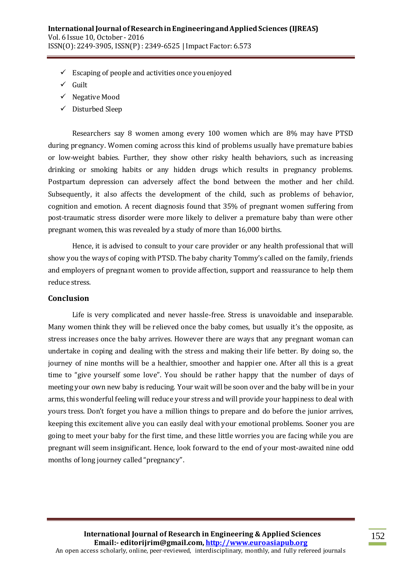- $\checkmark$  Escaping of people and activities once you enjoyed
- $\checkmark$  Guilt
- $\checkmark$  Negative Mood
- $\checkmark$  Disturbed Sleep

Researchers say 8 women among every 100 women which are 8% may have PTSD during pregnancy. Women coming across this kind of problems usually have premature babies or low-weight babies. Further, they show other risky health behaviors, such as increasing drinking or smoking habits or any hidden drugs which results in pregnancy problems. Postpartum depression can adversely affect the bond between the mother and her child. Subsequently, it also affects the development of the child, such as problems of behavior, cognition and emotion. A recent diagnosis found that 35% of pregnant women suffering from post-traumatic stress disorder were more likely to deliver a premature baby than were other pregnant women, this was revealed by a study of more than 16,000 births.

Hence, it is advised to consult to your care provider or any health professional that will show you the ways of coping with PTSD. The baby charity Tommy's called on the family, friends and employers of pregnant women to provide affection, support and reassurance to help them reduce stress.

### **Conclusion**

Life is very complicated and never hassle-free. Stress is unavoidable and inseparable. Many women think they will be relieved once the baby comes, but usually it's the opposite, as stress increases once the baby arrives. However there are ways that any pregnant woman can undertake in coping and dealing with the stress and making their life better. By doing so, the journey of nine months will be a healthier, smoother and happier one. After all this is a great time to "give yourself some love". You should be rather happy that the number of days of meeting your own new baby is reducing. Your wait will be soon over and the baby will be in your arms, this wonderful feeling will reduce your stress and will provide your happiness to deal with yours tress. Don't forget you have a million things to prepare and do before the junior arrives, keeping this excitement alive you can easily deal with your emotional problems. Sooner you are going to meet your baby for the first time, and these little worries you are facing while you are pregnant will seem insignificant. Hence, look forward to the end of your most-awaited nine odd months of long journey called "pregnancy".